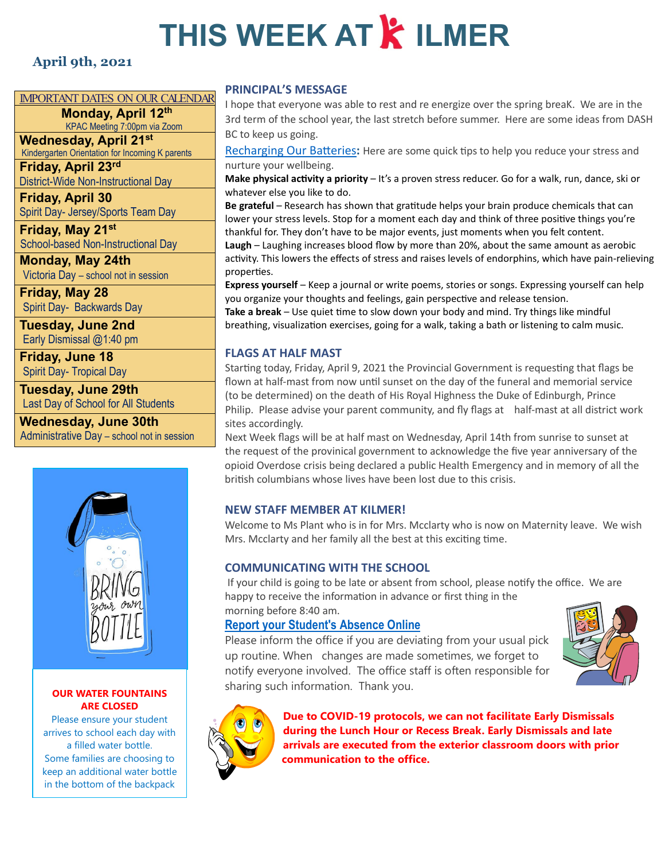# **THIS WEEK AT & ILMER**

#### **April 9th, 2021**

#### IMPORTANT DATES ON OUR CALENDAR

**Monday, April 12th**

KPAC Meeting 7:00pm via Zoom **Wednesday, April 21st** Kindergarten Orientation for Incoming K parents

**Friday, April 23rd** District-Wide Non-Instructional Day

**Friday, April 30** Spirit Day- Jersey/Sports Team Day

**Friday, May 21st** School-based Non-Instructional Day

**Monday, May 24th** Victoria Day – school not in session

**Friday, May 28** Spirit Day- Backwards Day

**Tuesday, June 2nd** Early Dismissal @1:40 pm

**Friday, June 18** Spirit Day- Tropical Day

**Tuesday, June 29th** Last Day of School for All Students

**Wednesday, June 30th** Administrative Day – school not in session



#### **OUR WATER FOUNTAINS ARE CLOSED**

Please ensure your student arrives to school each day with a filled water bottle. Some families are choosing to keep an additional water bottle in the bottom of the backpack

#### **PRINCIPAL'S MESSAGE**

I hope that everyone was able to rest and re energize over the spring breaK. We are in the 3rd term of the school year, the last stretch before summer. Here are some ideas from DASH BC to keep us going.

Recharging Our Batteries: Here are some quick tips to help you reduce your stress and nurture your wellbeing.

**Make physical ac�vity a priority** – It's a proven stress reducer. Go for a walk, run, dance, ski or whatever else you like to do.

**Be grateful** – Research has shown that gra�tude helps your brain produce chemicals that can lower your stress levels. Stop for a moment each day and think of three positive things you're thankful for. They don't have to be major events, just moments when you felt content. **Laugh** – Laughing increases blood flow by more than 20%, about the same amount as aerobic activity. This lowers the effects of stress and raises levels of endorphins, which have pain-relieving properties.

**Express yourself** – Keep a journal or write poems, stories or songs. Expressing yourself can help you organize your thoughts and feelings, gain perspective and release tension.

**Take a break** – Use quiet time to slow down your body and mind. Try things like mindful breathing, visualization exercises, going for a walk, taking a bath or listening to calm music.

#### **FLAGS AT HALF MAST**

Starting today, Friday, April 9, 2021 the Provincial Government is requesting that flags be flown at half-mast from now until sunset on the day of the funeral and memorial service (to be determined) on the death of His Royal Highness the Duke of Edinburgh, Prince Philip. Please advise your parent community, and fly flags at half-mast at all district work sites accordingly.

Next Week flags will be at half mast on Wednesday, April 14th from sunrise to sunset at the request of the provinical government to acknowledge the five year anniversary of the opioid Overdose crisis being declared a public Health Emergency and in memory of all the british columbians whose lives have been lost due to this crisis.

#### **NEW STAFF MEMBER AT KILMER!**

Welcome to Ms Plant who is in for Mrs. Mcclarty who is now on Maternity leave. We wish Mrs. Mcclarty and her family all the best at this exciting time.

#### **COMMUNICATING WITH THE SCHOOL**

If your child is going to be late or absent from school, please no�fy the office. We are happy to receive the information in advance or first thing in the morning before 8:40 am.

#### **[Report your Student's Absence Online](https://www2016.sd43.bc.ca/eforms/_layouts/15/FormServer.aspx?XsnLocation=http://www2016.sd43.bc.ca/eforms/AbsenceReportForm/Forms/template.xsn&OpenIn=browser&SaveLocation=http://www2016.sd43.bc.ca/eforms/AbsenceReportForm&Source=http://www2016.sd43.bc.ca/eforms/AbsenceReportForm)**

Please inform the office if you are deviating from your usual pick up routine. When changes are made sometimes, we forget to notify everyone involved. The office staff is often responsible for sharing such information. Thank you.





**Due to COVID-19 protocols, we can not facilitate Early Dismissals during the Lunch Hour or Recess Break. Early Dismissals and late arrivals are executed from the exterior classroom doors with prior communication to the office.**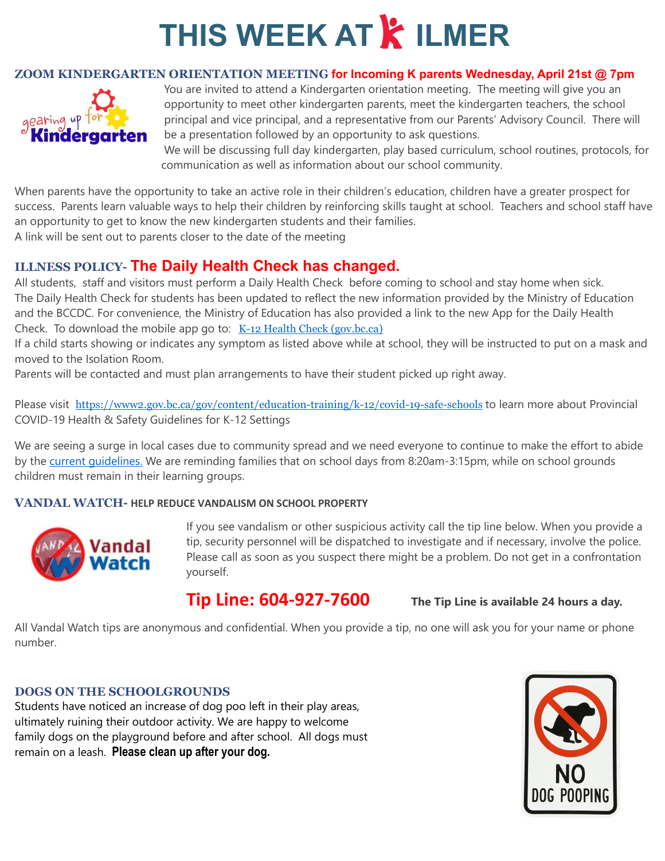## **THIS WEEK AT & ILMER**

#### **ZOOM KINDERGARTEN ORIENTATION MEETING for Incoming K parents Wednesday, April 21st @ 7pm**



You are invited to attend a Kindergarten orientation meeting. The meeting will give you an opportunity to meet other kindergarten parents, meet the kindergarten teachers, the school principal and vice principal, and a representative from our Parents' Advisory Council. There will be a presentation followed by an opportunity to ask questions.

We will be discussing full day kindergarten, play based curriculum, school routines, protocols, for communication as well as information about our school community.

When parents have the opportunity to take an active role in their children's education, children have a greater prospect for success. Parents learn valuable ways to help their children by reinforcing skills taught at school. Teachers and school staff have an opportunity to get to know the new kindergarten students and their families.

A link will be sent out to parents closer to the date of the meeting

### **ILLNESS POLICY- The Daily Health Check has changed.**

All students, staff and visitors must perform [a Daily Health Check](https://www.sd43.bc.ca/school/kilmer/Documents/2021-02-18Daily%20Health%20Check%20-%20Students.pdf) before coming to school and stay home when sick. The Daily Health Check for students has been updated to reflect the new information provided by the Ministry of Education and the BCCDC. For convenience, the Ministry of Education has also provided a link to the new App for the Daily Health Check. To download the mobile app go to:  $K-12$  Health Check (gov.bc.ca)

If a child starts showing or indicates any symptom as listed above while at school, they will be instructed to put on a mask and moved to the Isolation Room.

Parents will be contacted and must plan arrangements to have their student picked up right away.

Please visit <https://www2.gov.bc.ca/gov/content/education-training/k-12/covid-19-safe-schools> to learn more about Provincial [COVID-19 Health & Safety Guidelines for K-12 Settings](https://www2.gov.bc.ca/assets/gov/education/administration/kindergarten-to-grade-12/safe-caring-orderly/k-12-covid-19-health-safety-guidlines.pdf)

We are seeing a surge in local cases due to community spread and we need everyone to continue to make the effort to abide by the current quidelines. We are reminding families that on school days from 8:20am-3:15pm, while on school grounds children must remain in their learning groups.

#### **VANDAL WATCH- HELP REDUCE VANDALISM ON SCHOOL PROPERTY**



If you see vandalism or other suspicious activity call the tip line below. When you provide a tip, security personnel will be dispatched to investigate and if necessary, involve the police. Please call as soon as you suspect there might be a problem. Do not get in a confrontation yourself.

### **Tip Line: 604-927-7600 The Tip Line is available 24 hours a day.**

All Vandal Watch tips are anonymous and confidential. When you provide a tip, no one will ask you for your name or phone number.

#### **DOGS ON THE SCHOOLGROUNDS**

Students have noticed an increase of dog poo left in their play areas, ultimately ruining their outdoor activity. We are happy to welcome family dogs on the playground before and after school. All dogs must remain on a leash. **Please clean up after your dog.**